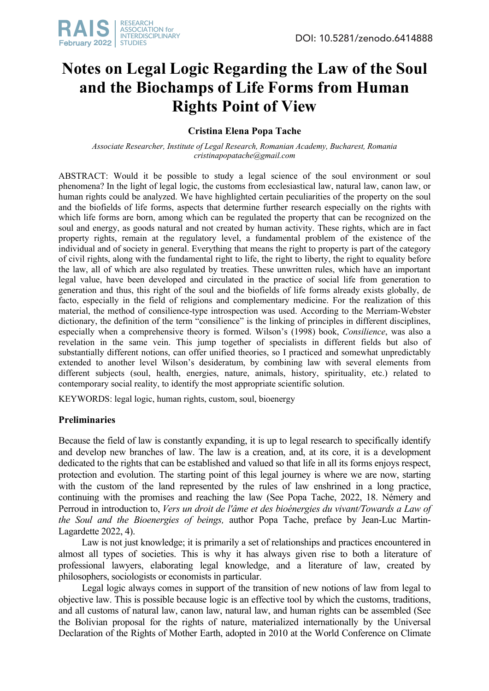

# **Notes on Legal Logic Regarding the Law of the Soul and the Biochamps of Life Forms from Human Rights Point of View**

## **Cristina Elena Popa Tache**

*Associate Researcher, Institute of Legal Research, Romanian Academy, Bucharest, Romania cristinapopatache@gmail.com*

ABSTRACT: Would it be possible to study a legal science of the soul environment or soul phenomena? In the light of legal logic, the customs from ecclesiastical law, natural law, canon law, or human rights could be analyzed. We have highlighted certain peculiarities of the property on the soul and the biofields of life forms, aspects that determine further research especially on the rights with which life forms are born, among which can be regulated the property that can be recognized on the soul and energy, as goods natural and not created by human activity. These rights, which are in fact property rights, remain at the regulatory level, a fundamental problem of the existence of the individual and of society in general. Everything that means the right to property is part of the category of civil rights, along with the fundamental right to life, the right to liberty, the right to equality before the law, all of which are also regulated by treaties. These unwritten rules, which have an important legal value, have been developed and circulated in the practice of social life from generation to generation and thus, this right of the soul and the biofields of life forms already exists globally, de facto, especially in the field of religions and complementary medicine. For the realization of this material, the method of consilience-type introspection was used. According to the Merriam-Webster dictionary, the definition of the term "consilience" is the linking of principles in different disciplines, especially when a comprehensive theory is formed. Wilson's (1998) book, *Consilience*, was also a revelation in the same vein. This jump together of specialists in different fields but also of substantially different notions, can offer unified theories, so I practiced and somewhat unpredictably extended to another level Wilson's desideratum, by combining law with several elements from different subjects (soul, health, energies, nature, animals, history, spirituality, etc.) related to contemporary social reality, to identify the most appropriate scientific solution.

KEYWORDS: legal logic, human rights, custom, soul, bioenergy

## **Preliminaries**

Because the field of law is constantly expanding, it is up to legal research to specifically identify and develop new branches of law. The law is a creation, and, at its core, it is a development dedicated to the rights that can be established and valued so that life in all its forms enjoys respect, protection and evolution. The starting point of this legal journey is where we are now, starting with the custom of the land represented by the rules of law enshrined in a long practice, continuing with the promises and reaching the law (See Popa Tache, 2022, 18. Némery and Perroud in introduction to, *Vers un droit de l'âme et des bioénergies du vivant/Towards a Law of the Soul and the Bioenergies of beings,* author Popa Tache, preface by Jean-Luc Martin-Lagardette 2022, 4).

Law is not just knowledge; it is primarily a set of relationships and practices encountered in almost all types of societies. This is why it has always given rise to both a literature of professional lawyers, elaborating legal knowledge, and a literature of law, created by philosophers, sociologists or economists in particular.

Legal logic always comes in support of the transition of new notions of law from legal to objective law. This is possible because logic is an effective tool by which the customs, traditions, and all customs of natural law, canon law, natural law, and human rights can be assembled (See the Bolivian proposal for the rights of nature, materialized internationally by the Universal Declaration of the Rights of Mother Earth, adopted in 2010 at the World Conference on Climate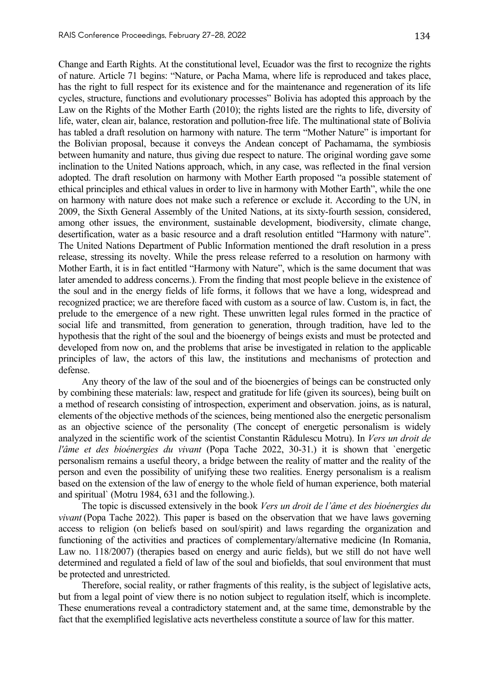Change and Earth Rights. At the constitutional level, Ecuador was the first to recognize the rights of nature. Article 71 begins: "Nature, or Pacha Mama, where life is reproduced and takes place, has the right to full respect for its existence and for the maintenance and regeneration of its life cycles, structure, functions and evolutionary processes" Bolivia has adopted this approach by the Law on the Rights of the Mother Earth (2010); the rights listed are the rights to life, diversity of life, water, clean air, balance, restoration and pollution-free life. The multinational state of Bolivia has tabled a draft resolution on harmony with nature. The term "Mother Nature" is important for the Bolivian proposal, because it conveys the Andean concept of Pachamama, the symbiosis between humanity and nature, thus giving due respect to nature. The original wording gave some inclination to the United Nations approach, which, in any case, was reflected in the final version adopted. The draft resolution on harmony with Mother Earth proposed "a possible statement of ethical principles and ethical values in order to live in harmony with Mother Earth", while the one on harmony with nature does not make such a reference or exclude it. According to the UN, in 2009, the Sixth General Assembly of the United Nations, at its sixty-fourth session, considered, among other issues, the environment, sustainable development, biodiversity, climate change, desertification, water as a basic resource and a draft resolution entitled "Harmony with nature". The United Nations Department of Public Information mentioned the draft resolution in a press release, stressing its novelty. While the press release referred to a resolution on harmony with Mother Earth, it is in fact entitled "Harmony with Nature", which is the same document that was later amended to address concerns.). From the finding that most people believe in the existence of the soul and in the energy fields of life forms, it follows that we have a long, widespread and recognized practice; we are therefore faced with custom as a source of law. Custom is, in fact, the prelude to the emergence of a new right. These unwritten legal rules formed in the practice of social life and transmitted, from generation to generation, through tradition, have led to the hypothesis that the right of the soul and the bioenergy of beings exists and must be protected and developed from now on, and the problems that arise be investigated in relation to the applicable principles of law, the actors of this law, the institutions and mechanisms of protection and defense.

Any theory of the law of the soul and of the bioenergies of beings can be constructed only by combining these materials: law, respect and gratitude for life (given its sources), being built on a method of research consisting of introspection, experiment and observation. joins, as is natural, elements of the objective methods of the sciences, being mentioned also the energetic personalism as an objective science of the personality (The concept of energetic personalism is widely analyzed in the scientific work of the scientist Constantin Rădulescu Motru). In *Vers un droit de l'âme et des bioénergies du vivant* (Popa Tache 2022, 30-31.) it is shown that `energetic personalism remains a useful theory, a bridge between the reality of matter and the reality of the person and even the possibility of unifying these two realities. Energy personalism is a realism based on the extension of the law of energy to the whole field of human experience, both material and spiritual` (Motru 1984, 631 and the following.).

The topic is discussed extensively in the book *Vers un droit de l'âme et des bioénergies du vivant* (Popa Tache 2022). This paper is based on the observation that we have laws governing access to religion (on beliefs based on soul/spirit) and laws regarding the organization and functioning of the activities and practices of complementary/alternative medicine (In Romania, Law no. 118/2007) (therapies based on energy and auric fields), but we still do not have well determined and regulated a field of law of the soul and biofields, that soul environment that must be protected and unrestricted.

Therefore, social reality, or rather fragments of this reality, is the subject of legislative acts, but from a legal point of view there is no notion subject to regulation itself, which is incomplete. These enumerations reveal a contradictory statement and, at the same time, demonstrable by the fact that the exemplified legislative acts nevertheless constitute a source of law for this matter.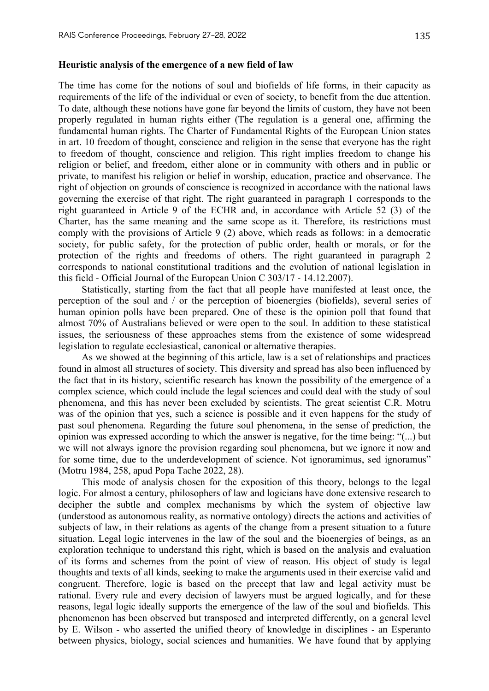The time has come for the notions of soul and biofields of life forms, in their capacity as requirements of the life of the individual or even of society, to benefit from the due attention. To date, although these notions have gone far beyond the limits of custom, they have not been properly regulated in human rights either (The regulation is a general one, affirming the fundamental human rights. The Charter of Fundamental Rights of the European Union states in art. 10 freedom of thought, conscience and religion in the sense that everyone has the right to freedom of thought, conscience and religion. This right implies freedom to change his religion or belief, and freedom, either alone or in community with others and in public or private, to manifest his religion or belief in worship, education, practice and observance. The right of objection on grounds of conscience is recognized in accordance with the national laws governing the exercise of that right. The right guaranteed in paragraph 1 corresponds to the right guaranteed in Article 9 of the ECHR and, in accordance with Article 52 (3) of the Charter, has the same meaning and the same scope as it. Therefore, its restrictions must comply with the provisions of Article 9 (2) above, which reads as follows: in a democratic society, for public safety, for the protection of public order, health or morals, or for the protection of the rights and freedoms of others. The right guaranteed in paragraph 2 corresponds to national constitutional traditions and the evolution of national legislation in this field - Official Journal of the European Union C 303/17 - 14.12.2007).

Statistically, starting from the fact that all people have manifested at least once, the perception of the soul and / or the perception of bioenergies (biofields), several series of human opinion polls have been prepared. One of these is the opinion poll that found that almost 70% of Australians believed or were open to the soul. In addition to these statistical issues, the seriousness of these approaches stems from the existence of some widespread legislation to regulate ecclesiastical, canonical or alternative therapies.

As we showed at the beginning of this article, law is a set of relationships and practices found in almost all structures of society. This diversity and spread has also been influenced by the fact that in its history, scientific research has known the possibility of the emergence of a complex science, which could include the legal sciences and could deal with the study of soul phenomena, and this has never been excluded by scientists. The great scientist C.R. Motru was of the opinion that yes, such a science is possible and it even happens for the study of past soul phenomena. Regarding the future soul phenomena, in the sense of prediction, the opinion was expressed according to which the answer is negative, for the time being: "(...) but we will not always ignore the provision regarding soul phenomena, but we ignore it now and for some time, due to the underdevelopment of science. Not ignoramimus, sed ignoramus" (Motru 1984, 258, apud Popa Tache 2022, 28).

This mode of analysis chosen for the exposition of this theory, belongs to the legal logic. For almost a century, philosophers of law and logicians have done extensive research to decipher the subtle and complex mechanisms by which the system of objective law (understood as autonomous reality, as normative ontology) directs the actions and activities of subjects of law, in their relations as agents of the change from a present situation to a future situation. Legal logic intervenes in the law of the soul and the bioenergies of beings, as an exploration technique to understand this right, which is based on the analysis and evaluation of its forms and schemes from the point of view of reason. His object of study is legal thoughts and texts of all kinds, seeking to make the arguments used in their exercise valid and congruent. Therefore, logic is based on the precept that law and legal activity must be rational. Every rule and every decision of lawyers must be argued logically, and for these reasons, legal logic ideally supports the emergence of the law of the soul and biofields. This phenomenon has been observed but transposed and interpreted differently, on a general level by E. Wilson - who asserted the unified theory of knowledge in disciplines - an Esperanto between physics, biology, social sciences and humanities. We have found that by applying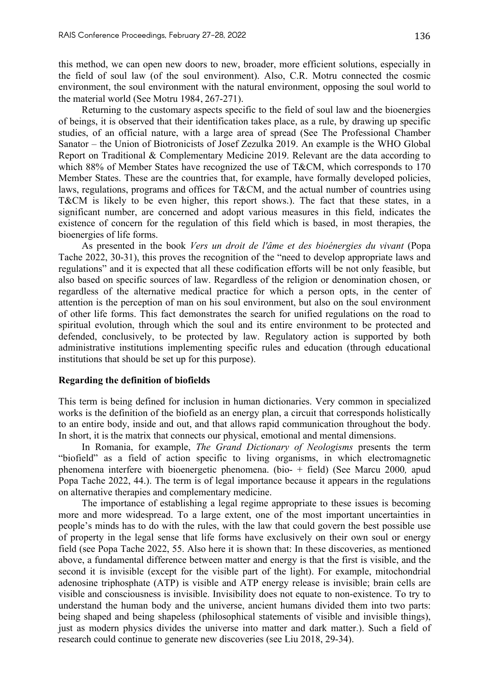this method, we can open new doors to new, broader, more efficient solutions, especially in the field of soul law (of the soul environment). Also, C.R. Motru connected the cosmic environment, the soul environment with the natural environment, opposing the soul world to the material world (See Motru 1984, 267-271).

Returning to the customary aspects specific to the field of soul law and the bioenergies of beings, it is observed that their identification takes place, as a rule, by drawing up specific studies, of an official nature, with a large area of spread (See The Professional Chamber Sanator – the Union of Biotronicists of Josef Zezulka 2019. An example is the WHO Global Report on Traditional & Complementary Medicine 2019. Relevant are the data according to which 88% of Member States have recognized the use of T&CM, which corresponds to 170 Member States. These are the countries that, for example, have formally developed policies, laws, regulations, programs and offices for T&CM, and the actual number of countries using T&CM is likely to be even higher, this report shows.). The fact that these states, in a significant number, are concerned and adopt various measures in this field, indicates the existence of concern for the regulation of this field which is based, in most therapies, the bioenergies of life forms.

As presented in the book *Vers un droit de l'âme et des bioénergies du vivant* (Popa Tache 2022, 30-31), this proves the recognition of the "need to develop appropriate laws and regulations" and it is expected that all these codification efforts will be not only feasible, but also based on specific sources of law. Regardless of the religion or denomination chosen, or regardless of the alternative medical practice for which a person opts, in the center of attention is the perception of man on his soul environment, but also on the soul environment of other life forms. This fact demonstrates the search for unified regulations on the road to spiritual evolution, through which the soul and its entire environment to be protected and defended, conclusively, to be protected by law. Regulatory action is supported by both administrative institutions implementing specific rules and education (through educational institutions that should be set up for this purpose).

### **Regarding the definition of biofields**

This term is being defined for inclusion in human dictionaries. Very common in specialized works is the definition of the biofield as an energy plan, a circuit that corresponds holistically to an entire body, inside and out, and that allows rapid communication throughout the body. In short, it is the matrix that connects our physical, emotional and mental dimensions.

In Romania, for example, *The Grand Dictionary of Neologisms* presents the term "biofield" as a field of action specific to living organisms, in which electromagnetic phenomena interfere with bioenergetic phenomena. (bio- + field) (See Marcu 2000*,* apud Popa Tache 2022, 44.). The term is of legal importance because it appears in the regulations on alternative therapies and complementary medicine.

The importance of establishing a legal regime appropriate to these issues is becoming more and more widespread. To a large extent, one of the most important uncertainties in people's minds has to do with the rules, with the law that could govern the best possible use of property in the legal sense that life forms have exclusively on their own soul or energy field (see Popa Tache 2022, 55. Also here it is shown that: In these discoveries, as mentioned above, a fundamental difference between matter and energy is that the first is visible, and the second it is invisible (except for the visible part of the light). For example, mitochondrial adenosine triphosphate (ATP) is visible and ATP energy release is invisible; brain cells are visible and consciousness is invisible. Invisibility does not equate to non-existence. To try to understand the human body and the universe, ancient humans divided them into two parts: being shaped and being shapeless (philosophical statements of visible and invisible things), just as modern physics divides the universe into matter and dark matter.). Such a field of research could continue to generate new discoveries (see Liu 2018, 29-34).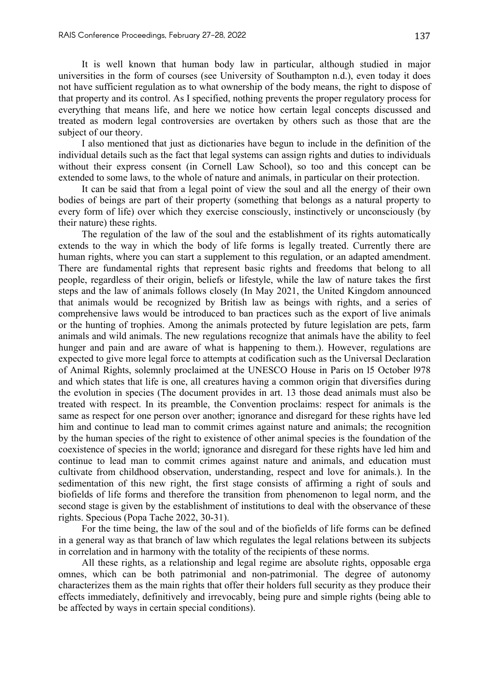It is well known that human body law in particular, although studied in major universities in the form of courses (see University of Southampton n.d.), even today it does not have sufficient regulation as to what ownership of the body means, the right to dispose of that property and its control. As I specified, nothing prevents the proper regulatory process for everything that means life, and here we notice how certain legal concepts discussed and treated as modern legal controversies are overtaken by others such as those that are the subject of our theory.

I also mentioned that just as dictionaries have begun to include in the definition of the individual details such as the fact that legal systems can assign rights and duties to individuals without their express consent (in Cornell Law School), so too and this concept can be extended to some laws, to the whole of nature and animals, in particular on their protection.

It can be said that from a legal point of view the soul and all the energy of their own bodies of beings are part of their property (something that belongs as a natural property to every form of life) over which they exercise consciously, instinctively or unconsciously (by their nature) these rights.

The regulation of the law of the soul and the establishment of its rights automatically extends to the way in which the body of life forms is legally treated. Currently there are human rights, where you can start a supplement to this regulation, or an adapted amendment. There are fundamental rights that represent basic rights and freedoms that belong to all people, regardless of their origin, beliefs or lifestyle, while the law of nature takes the first steps and the law of animals follows closely (In May 2021, the United Kingdom announced that animals would be recognized by British law as beings with rights, and a series of comprehensive laws would be introduced to ban practices such as the export of live animals or the hunting of trophies. Among the animals protected by future legislation are pets, farm animals and wild animals. The new regulations recognize that animals have the ability to feel hunger and pain and are aware of what is happening to them.). However, regulations are expected to give more legal force to attempts at codification such as the Universal Declaration of Animal Rights, solemnly proclaimed at the UNESCO House in Paris on l5 October l978 and which states that life is one, all creatures having a common origin that diversifies during the evolution in species (The document provides in art. 13 those dead animals must also be treated with respect. In its preamble, the Convention proclaims: respect for animals is the same as respect for one person over another; ignorance and disregard for these rights have led him and continue to lead man to commit crimes against nature and animals; the recognition by the human species of the right to existence of other animal species is the foundation of the coexistence of species in the world; ignorance and disregard for these rights have led him and continue to lead man to commit crimes against nature and animals, and education must cultivate from childhood observation, understanding, respect and love for animals.). In the sedimentation of this new right, the first stage consists of affirming a right of souls and biofields of life forms and therefore the transition from phenomenon to legal norm, and the second stage is given by the establishment of institutions to deal with the observance of these rights. Specious (Popa Tache 2022, 30-31).

For the time being, the law of the soul and of the biofields of life forms can be defined in a general way as that branch of law which regulates the legal relations between its subjects in correlation and in harmony with the totality of the recipients of these norms.

All these rights, as a relationship and legal regime are absolute rights, opposable erga omnes, which can be both patrimonial and non-patrimonial. The degree of autonomy characterizes them as the main rights that offer their holders full security as they produce their effects immediately, definitively and irrevocably, being pure and simple rights (being able to be affected by ways in certain special conditions).